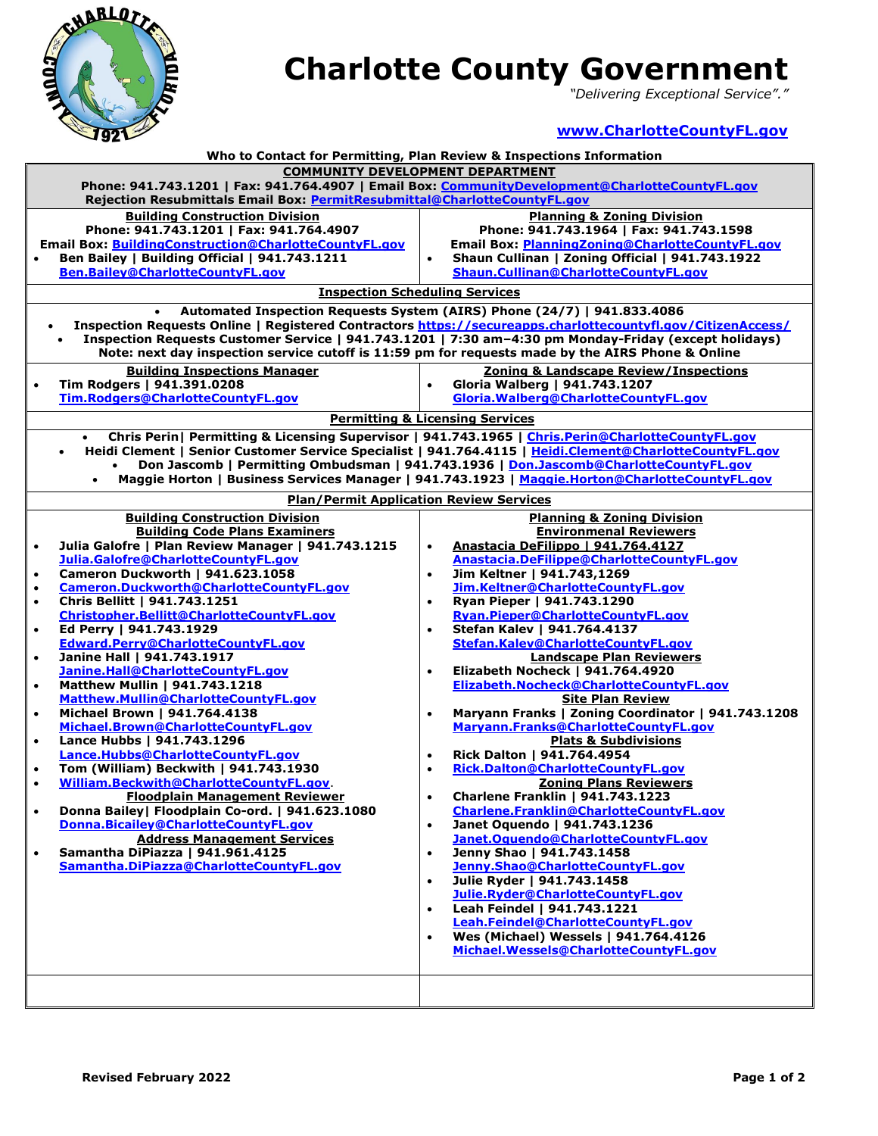

## **Charlotte County Government**

*"Delivering Exceptional Service"."*

## **[www.CharlotteCountyFL.gov](http://www.charlottecountyfl.gov/)**

| Who to Contact for Permitting, Plan Review & Inspections Information                                        |                                                                                                         |  |
|-------------------------------------------------------------------------------------------------------------|---------------------------------------------------------------------------------------------------------|--|
| <b>COMMUNITY DEVELOPMENT DEPARTMENT</b>                                                                     |                                                                                                         |  |
|                                                                                                             | Phone: 941.743.1201   Fax: 941.764.4907   Email Box: CommunityDevelopment@CharlotteCountyFL.gov         |  |
| Rejection Resubmittals Email Box: PermitResubmittal@CharlotteCountyFL.gov                                   |                                                                                                         |  |
| <b>Building Construction Division</b>                                                                       | <b>Planning &amp; Zoning Division</b>                                                                   |  |
| Phone: 941.743.1201   Fax: 941.764.4907                                                                     | Phone: 941.743.1964   Fax: 941.743.1598                                                                 |  |
| Email Box: BuildingConstruction@CharlotteCountyFL.gov                                                       | <b>Email Box: PlanningZoning@CharlotteCountyFL.gov</b>                                                  |  |
| Ben Bailey   Building Official   941.743.1211                                                               | Shaun Cullinan   Zoning Official   941.743.1922<br>$\bullet$                                            |  |
| Ben.Bailey@CharlotteCountyFL.gov                                                                            | Shaun.Cullinan@CharlotteCountyFL.gov                                                                    |  |
| <b>Inspection Scheduling Services</b>                                                                       |                                                                                                         |  |
| Automated Inspection Requests System (AIRS) Phone (24/7)   941.833.4086                                     |                                                                                                         |  |
| Inspection Requests Online   Registered Contractors https://secureapps.charlottecountyfl.gov/CitizenAccess/ |                                                                                                         |  |
| Inspection Requests Customer Service   941.743.1201   7:30 am-4:30 pm Monday-Friday (except holidays)       |                                                                                                         |  |
| Note: next day inspection service cutoff is 11:59 pm for requests made by the AIRS Phone & Online           |                                                                                                         |  |
| <b>Building Inspections Manager</b>                                                                         | <b>Zoning &amp; Landscape Review/Inspections</b>                                                        |  |
| Tim Rodgers   941.391.0208<br>$\bullet$                                                                     | Gloria Walberg   941.743.1207<br>$\bullet$                                                              |  |
| Tim.Rodgers@CharlotteCountyFL.gov                                                                           | Gloria. Walberg@CharlotteCountyFL.gov                                                                   |  |
| <b>Permitting &amp; Licensing Services</b>                                                                  |                                                                                                         |  |
| Chris Perin  Permitting & Licensing Supervisor   941.743.1965   Chris.Perin@CharlotteCountyFL.gov           |                                                                                                         |  |
|                                                                                                             | Heidi Clement   Senior Customer Service Specialist   941.764.4115   Heidi.Clement@CharlotteCountyFL.gov |  |
|                                                                                                             | Don Jascomb   Permitting Ombudsman   941.743.1936   Don.Jascomb@CharlotteCountyFL.gov                   |  |
|                                                                                                             | Maggie Horton   Business Services Manager   941.743.1923   Maggie.Horton@CharlotteCountyFL.gov          |  |
| <b>Plan/Permit Application Review Services</b>                                                              |                                                                                                         |  |
| <b>Building Construction Division</b>                                                                       | <b>Planning &amp; Zoning Division</b>                                                                   |  |
| <b>Building Code Plans Examiners</b>                                                                        | <b>Environmenal Reviewers</b>                                                                           |  |
| Julia Galofre   Plan Review Manager   941.743.1215<br>$\bullet$                                             | Anastacia DeFilippo   941.764.4127<br>$\bullet$                                                         |  |
| Julia.Galofre@CharlotteCountyFL.gov                                                                         | Anastacia.DeFilippe@CharlotteCountyFL.gov                                                               |  |
| Cameron Duckworth   941.623.1058<br>$\bullet$                                                               | Jim Keltner   941.743,1269<br>$\bullet$                                                                 |  |
| Cameron.Duckworth@CharlotteCountyFL.gov<br>$\bullet$                                                        | Jim.Keltner@CharlotteCountyFL.gov                                                                       |  |
| Chris Bellitt   941.743.1251<br>$\bullet$                                                                   | Ryan Pieper   941.743.1290<br>$\bullet$                                                                 |  |
| Christopher.Bellitt@CharlotteCountyFL.gov                                                                   | Ryan.Pieper@CharlotteCountyFL.gov                                                                       |  |
| Ed Perry   941.743.1929<br>$\bullet$                                                                        | Stefan Kalev   941.764.4137<br>$\bullet$                                                                |  |
| Edward.Perry@CharlotteCountyFL.gov                                                                          | Stefan.Kalev@CharlotteCountyFL.gov                                                                      |  |
| Janine Hall   941.743.1917<br>$\bullet$                                                                     | <b>Landscape Plan Reviewers</b>                                                                         |  |
| Janine.Hall@CharlotteCountyFL.gov                                                                           | Elizabeth Nocheck   941.764.4920<br>$\bullet$                                                           |  |
| Matthew Mullin   941.743.1218<br>$\bullet$                                                                  | Elizabeth.Nocheck@CharlotteCountyFL.gov                                                                 |  |
| Matthew.Mullin@CharlotteCountyFL.gov                                                                        | <b>Site Plan Review</b>                                                                                 |  |
| Michael Brown   941.764.4138<br>$\bullet$                                                                   | Maryann Franks   Zoning Coordinator   941.743.1208<br>$\bullet$                                         |  |
| Michael.Brown@CharlotteCountyFL.gov                                                                         | Maryann.Franks@CharlotteCountyFL.gov                                                                    |  |
| Lance Hubbs   941.743.1296<br>$\bullet$                                                                     | <b>Plats &amp; Subdivisions</b>                                                                         |  |
| Lance.Hubbs@CharlotteCountyFL.gov                                                                           | Rick Dalton   941.764.4954<br>$\bullet$                                                                 |  |
| Tom (William) Beckwith   941.743.1930<br>$\bullet$                                                          | Rick.Dalton@CharlotteCountyFL.gov<br>$\bullet$                                                          |  |
| William.Beckwith@CharlotteCountyFL.gov.<br>$\bullet$                                                        | <b>Zoning Plans Reviewers</b><br>Charlene Franklin   941.743.1223                                       |  |
| <b>Floodplain Management Reviewer</b><br>Donna Bailey   Floodplain Co-ord.   941.623.1080<br>$\bullet$      | $\bullet$<br>Charlene.Franklin@CharlotteCountyFL.gov                                                    |  |
| Donna.Bicailey@CharlotteCountyFL.gov                                                                        | Janet Oquendo   941.743.1236<br>$\bullet$                                                               |  |
| <b>Address Management Services</b>                                                                          | Janet.Oquendo@CharlotteCountyFL.gov                                                                     |  |
| Samantha DiPiazza   941.961.4125<br>$\bullet$                                                               | Jenny Shao   941.743.1458<br>$\bullet$                                                                  |  |
| Samantha.DiPiazza@CharlotteCountyFL.gov                                                                     | Jenny.Shao@CharlotteCountyFL.gov                                                                        |  |
|                                                                                                             | Julie Ryder   941.743.1458<br>$\bullet$                                                                 |  |
|                                                                                                             | Julie.Ryder@CharlotteCountyFL.gov                                                                       |  |
|                                                                                                             | Leah Feindel   941.743.1221<br>$\bullet$                                                                |  |
|                                                                                                             | Leah.Feindel@CharlotteCountyFL.gov                                                                      |  |
|                                                                                                             | Wes (Michael) Wessels   941.764.4126<br>$\bullet$                                                       |  |
|                                                                                                             | Michael.Wessels@CharlotteCountyFL.gov                                                                   |  |
|                                                                                                             |                                                                                                         |  |
|                                                                                                             |                                                                                                         |  |
|                                                                                                             |                                                                                                         |  |